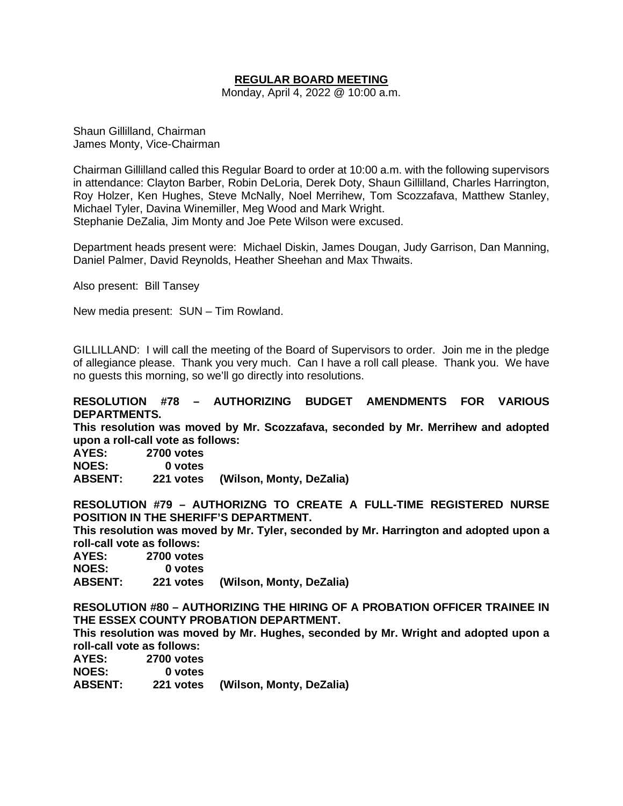## **REGULAR BOARD MEETING**

Monday, April 4, 2022 @ 10:00 a.m.

Shaun Gillilland, Chairman James Monty, Vice-Chairman

Chairman Gillilland called this Regular Board to order at 10:00 a.m. with the following supervisors in attendance: Clayton Barber, Robin DeLoria, Derek Doty, Shaun Gillilland, Charles Harrington, Roy Holzer, Ken Hughes, Steve McNally, Noel Merrihew, Tom Scozzafava, Matthew Stanley, Michael Tyler, Davina Winemiller, Meg Wood and Mark Wright. Stephanie DeZalia, Jim Monty and Joe Pete Wilson were excused.

Department heads present were: Michael Diskin, James Dougan, Judy Garrison, Dan Manning, Daniel Palmer, David Reynolds, Heather Sheehan and Max Thwaits.

Also present: Bill Tansey

New media present: SUN – Tim Rowland.

GILLILLAND: I will call the meeting of the Board of Supervisors to order. Join me in the pledge of allegiance please. Thank you very much. Can I have a roll call please. Thank you. We have no guests this morning, so we'll go directly into resolutions.

### **RESOLUTION #78 – AUTHORIZING BUDGET AMENDMENTS FOR VARIOUS DEPARTMENTS.**

**This resolution was moved by Mr. Scozzafava, seconded by Mr. Merrihew and adopted upon a roll-call vote as follows:** 

**AYES: 2700 votes NOES: 0 votes**

**ABSENT: 221 votes (Wilson, Monty, DeZalia)**

**RESOLUTION #79 – AUTHORIZNG TO CREATE A FULL-TIME REGISTERED NURSE POSITION IN THE SHERIFF'S DEPARTMENT.**

**This resolution was moved by Mr. Tyler, seconded by Mr. Harrington and adopted upon a roll-call vote as follows:** 

**AYES: 2700 votes NOES: 0 votes ABSENT: 221 votes (Wilson, Monty, DeZalia)**

**RESOLUTION #80 – AUTHORIZING THE HIRING OF A PROBATION OFFICER TRAINEE IN THE ESSEX COUNTY PROBATION DEPARTMENT.**

**This resolution was moved by Mr. Hughes, seconded by Mr. Wright and adopted upon a roll-call vote as follows:** 

| AYES:          | <b>2700 votes</b> |                                    |
|----------------|-------------------|------------------------------------|
| <b>NOES:</b>   | 0 votes           |                                    |
| <b>ABSENT:</b> |                   | 221 votes (Wilson, Monty, DeZalia) |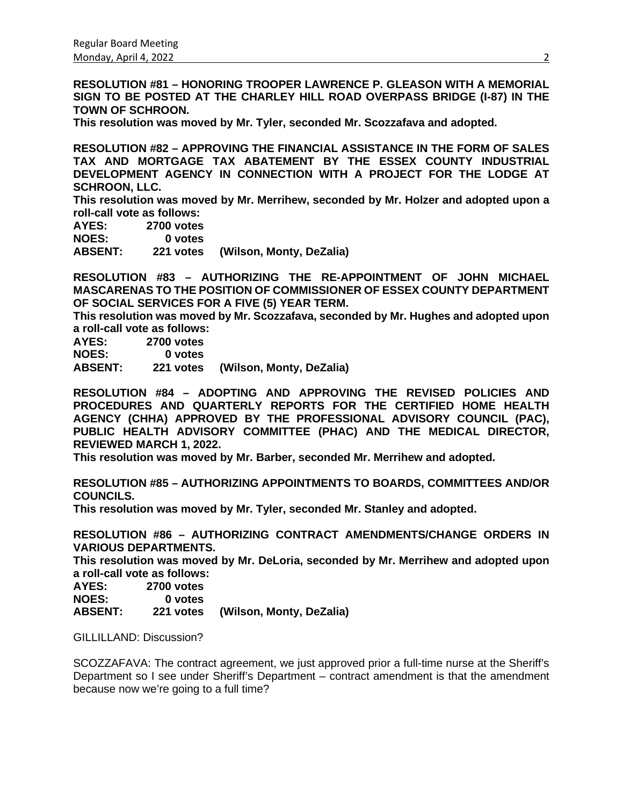**RESOLUTION #81 – HONORING TROOPER LAWRENCE P. GLEASON WITH A MEMORIAL SIGN TO BE POSTED AT THE CHARLEY HILL ROAD OVERPASS BRIDGE (I-87) IN THE TOWN OF SCHROON.**

**This resolution was moved by Mr. Tyler, seconded Mr. Scozzafava and adopted.**

**RESOLUTION #82 – APPROVING THE FINANCIAL ASSISTANCE IN THE FORM OF SALES TAX AND MORTGAGE TAX ABATEMENT BY THE ESSEX COUNTY INDUSTRIAL DEVELOPMENT AGENCY IN CONNECTION WITH A PROJECT FOR THE LODGE AT SCHROON, LLC.**

**This resolution was moved by Mr. Merrihew, seconded by Mr. Holzer and adopted upon a roll-call vote as follows:** 

**AYES: 2700 votes NOES: 0 votes ABSENT: 221 votes (Wilson, Monty, DeZalia)**

**RESOLUTION #83 – AUTHORIZING THE RE-APPOINTMENT OF JOHN MICHAEL MASCARENAS TO THE POSITION OF COMMISSIONER OF ESSEX COUNTY DEPARTMENT OF SOCIAL SERVICES FOR A FIVE (5) YEAR TERM.**

**This resolution was moved by Mr. Scozzafava, seconded by Mr. Hughes and adopted upon a roll-call vote as follows:** 

**AYES: 2700 votes NOES: 0 votes**

**ABSENT: 221 votes (Wilson, Monty, DeZalia)**

**RESOLUTION #84 – ADOPTING AND APPROVING THE REVISED POLICIES AND PROCEDURES AND QUARTERLY REPORTS FOR THE CERTIFIED HOME HEALTH AGENCY (CHHA) APPROVED BY THE PROFESSIONAL ADVISORY COUNCIL (PAC), PUBLIC HEALTH ADVISORY COMMITTEE (PHAC) AND THE MEDICAL DIRECTOR, REVIEWED MARCH 1, 2022.** 

**This resolution was moved by Mr. Barber, seconded Mr. Merrihew and adopted.**

**RESOLUTION #85 – AUTHORIZING APPOINTMENTS TO BOARDS, COMMITTEES AND/OR COUNCILS.**

**This resolution was moved by Mr. Tyler, seconded Mr. Stanley and adopted.**

**RESOLUTION #86 – AUTHORIZING CONTRACT AMENDMENTS/CHANGE ORDERS IN VARIOUS DEPARTMENTS.**

**This resolution was moved by Mr. DeLoria, seconded by Mr. Merrihew and adopted upon a roll-call vote as follows:** 

**AYES: 2700 votes** 0 votes **ABSENT: 221 votes (Wilson, Monty, DeZalia)**

GILLILLAND: Discussion?

SCOZZAFAVA: The contract agreement, we just approved prior a full-time nurse at the Sheriff's Department so I see under Sheriff's Department – contract amendment is that the amendment because now we're going to a full time?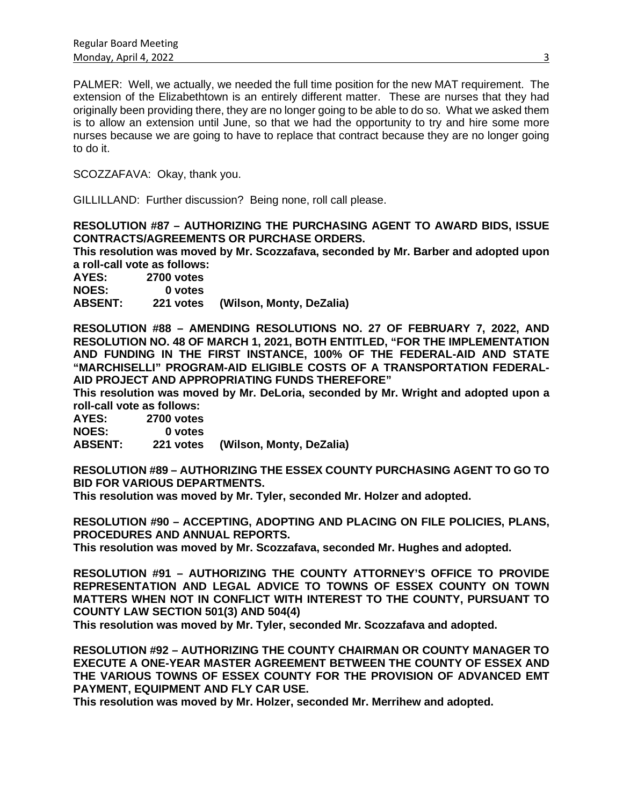PALMER: Well, we actually, we needed the full time position for the new MAT requirement. The extension of the Elizabethtown is an entirely different matter. These are nurses that they had originally been providing there, they are no longer going to be able to do so. What we asked them is to allow an extension until June, so that we had the opportunity to try and hire some more nurses because we are going to have to replace that contract because they are no longer going to do it.

SCOZZAFAVA: Okay, thank you.

GILLILLAND: Further discussion? Being none, roll call please.

**RESOLUTION #87 – AUTHORIZING THE PURCHASING AGENT TO AWARD BIDS, ISSUE CONTRACTS/AGREEMENTS OR PURCHASE ORDERS.**

**This resolution was moved by Mr. Scozzafava, seconded by Mr. Barber and adopted upon a roll-call vote as follows:** 

**AYES: 2700 votes NOES: 0 votes ABSENT: 221 votes (Wilson, Monty, DeZalia)**

**RESOLUTION #88 – AMENDING RESOLUTIONS NO. 27 OF FEBRUARY 7, 2022, AND RESOLUTION NO. 48 OF MARCH 1, 2021, BOTH ENTITLED, "FOR THE IMPLEMENTATION AND FUNDING IN THE FIRST INSTANCE, 100% OF THE FEDERAL-AID AND STATE "MARCHISELLI" PROGRAM-AID ELIGIBLE COSTS OF A TRANSPORTATION FEDERAL-AID PROJECT AND APPROPRIATING FUNDS THEREFORE"**

**This resolution was moved by Mr. DeLoria, seconded by Mr. Wright and adopted upon a roll-call vote as follows:** 

**AYES: 2700 votes NOES: 0 votes**

**ABSENT: 221 votes (Wilson, Monty, DeZalia)**

**RESOLUTION #89 – AUTHORIZING THE ESSEX COUNTY PURCHASING AGENT TO GO TO BID FOR VARIOUS DEPARTMENTS.**

**This resolution was moved by Mr. Tyler, seconded Mr. Holzer and adopted.**

**RESOLUTION #90 – ACCEPTING, ADOPTING AND PLACING ON FILE POLICIES, PLANS, PROCEDURES AND ANNUAL REPORTS.**

**This resolution was moved by Mr. Scozzafava, seconded Mr. Hughes and adopted.**

**RESOLUTION #91 – AUTHORIZING THE COUNTY ATTORNEY'S OFFICE TO PROVIDE REPRESENTATION AND LEGAL ADVICE TO TOWNS OF ESSEX COUNTY ON TOWN MATTERS WHEN NOT IN CONFLICT WITH INTEREST TO THE COUNTY, PURSUANT TO COUNTY LAW SECTION 501(3) AND 504(4)**

**This resolution was moved by Mr. Tyler, seconded Mr. Scozzafava and adopted.**

**RESOLUTION #92 – AUTHORIZING THE COUNTY CHAIRMAN OR COUNTY MANAGER TO EXECUTE A ONE-YEAR MASTER AGREEMENT BETWEEN THE COUNTY OF ESSEX AND THE VARIOUS TOWNS OF ESSEX COUNTY FOR THE PROVISION OF ADVANCED EMT PAYMENT, EQUIPMENT AND FLY CAR USE.**

**This resolution was moved by Mr. Holzer, seconded Mr. Merrihew and adopted.**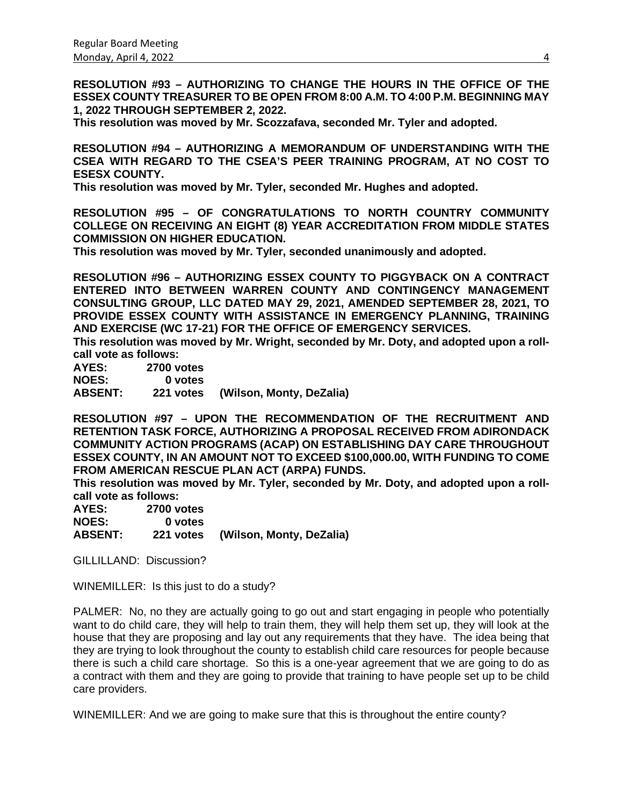**RESOLUTION #93 – AUTHORIZING TO CHANGE THE HOURS IN THE OFFICE OF THE ESSEX COUNTY TREASURER TO BE OPEN FROM 8:00 A.M. TO 4:00 P.M. BEGINNING MAY 1, 2022 THROUGH SEPTEMBER 2, 2022.**

**This resolution was moved by Mr. Scozzafava, seconded Mr. Tyler and adopted.**

**RESOLUTION #94 – AUTHORIZING A MEMORANDUM OF UNDERSTANDING WITH THE CSEA WITH REGARD TO THE CSEA'S PEER TRAINING PROGRAM, AT NO COST TO ESESX COUNTY.**

**This resolution was moved by Mr. Tyler, seconded Mr. Hughes and adopted.**

**RESOLUTION #95 – OF CONGRATULATIONS TO NORTH COUNTRY COMMUNITY COLLEGE ON RECEIVING AN EIGHT (8) YEAR ACCREDITATION FROM MIDDLE STATES COMMISSION ON HIGHER EDUCATION.**

**This resolution was moved by Mr. Tyler, seconded unanimously and adopted.**

**RESOLUTION #96 – AUTHORIZING ESSEX COUNTY TO PIGGYBACK ON A CONTRACT ENTERED INTO BETWEEN WARREN COUNTY AND CONTINGENCY MANAGEMENT CONSULTING GROUP, LLC DATED MAY 29, 2021, AMENDED SEPTEMBER 28, 2021, TO PROVIDE ESSEX COUNTY WITH ASSISTANCE IN EMERGENCY PLANNING, TRAINING AND EXERCISE (WC 17-21) FOR THE OFFICE OF EMERGENCY SERVICES.**

**This resolution was moved by Mr. Wright, seconded by Mr. Doty, and adopted upon a rollcall vote as follows:** 

**AYES: 2700 votes NOES: 0 votes ABSENT: 221 votes (Wilson, Monty, DeZalia)**

**RESOLUTION #97 – UPON THE RECOMMENDATION OF THE RECRUITMENT AND RETENTION TASK FORCE, AUTHORIZING A PROPOSAL RECEIVED FROM ADIRONDACK COMMUNITY ACTION PROGRAMS (ACAP) ON ESTABLISHING DAY CARE THROUGHOUT ESSEX COUNTY, IN AN AMOUNT NOT TO EXCEED \$100,000.00, WITH FUNDING TO COME FROM AMERICAN RESCUE PLAN ACT (ARPA) FUNDS.**

**This resolution was moved by Mr. Tyler, seconded by Mr. Doty, and adopted upon a rollcall vote as follows:** 

| AYES:          | <b>2700 votes</b> |                                    |
|----------------|-------------------|------------------------------------|
| <b>NOES:</b>   | 0 votes           |                                    |
| <b>ABSENT:</b> |                   | 221 votes (Wilson, Monty, DeZalia) |

GILLILLAND: Discussion?

WINEMILLER: Is this just to do a study?

PALMER: No, no they are actually going to go out and start engaging in people who potentially want to do child care, they will help to train them, they will help them set up, they will look at the house that they are proposing and lay out any requirements that they have. The idea being that they are trying to look throughout the county to establish child care resources for people because there is such a child care shortage. So this is a one-year agreement that we are going to do as a contract with them and they are going to provide that training to have people set up to be child care providers.

WINEMILLER: And we are going to make sure that this is throughout the entire county?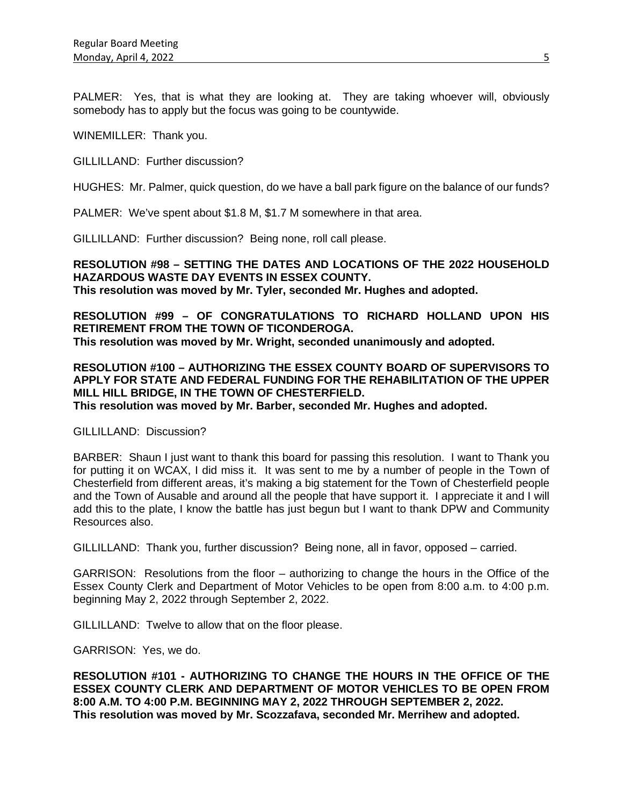PALMER: Yes, that is what they are looking at. They are taking whoever will, obviously somebody has to apply but the focus was going to be countywide.

WINEMILLER: Thank you.

GILLILLAND: Further discussion?

HUGHES: Mr. Palmer, quick question, do we have a ball park figure on the balance of our funds?

PALMER: We've spent about \$1.8 M, \$1.7 M somewhere in that area.

GILLILLAND: Further discussion? Being none, roll call please.

**RESOLUTION #98 – SETTING THE DATES AND LOCATIONS OF THE 2022 HOUSEHOLD HAZARDOUS WASTE DAY EVENTS IN ESSEX COUNTY. This resolution was moved by Mr. Tyler, seconded Mr. Hughes and adopted.**

**RESOLUTION #99 – OF CONGRATULATIONS TO RICHARD HOLLAND UPON HIS RETIREMENT FROM THE TOWN OF TICONDEROGA. This resolution was moved by Mr. Wright, seconded unanimously and adopted.**

**RESOLUTION #100 – AUTHORIZING THE ESSEX COUNTY BOARD OF SUPERVISORS TO APPLY FOR STATE AND FEDERAL FUNDING FOR THE REHABILITATION OF THE UPPER MILL HILL BRIDGE, IN THE TOWN OF CHESTERFIELD. This resolution was moved by Mr. Barber, seconded Mr. Hughes and adopted.**

GILLILLAND: Discussion?

BARBER: Shaun I just want to thank this board for passing this resolution. I want to Thank you for putting it on WCAX, I did miss it. It was sent to me by a number of people in the Town of Chesterfield from different areas, it's making a big statement for the Town of Chesterfield people and the Town of Ausable and around all the people that have support it. I appreciate it and I will add this to the plate, I know the battle has just begun but I want to thank DPW and Community Resources also.

GILLILLAND: Thank you, further discussion? Being none, all in favor, opposed – carried.

GARRISON: Resolutions from the floor – authorizing to change the hours in the Office of the Essex County Clerk and Department of Motor Vehicles to be open from 8:00 a.m. to 4:00 p.m. beginning May 2, 2022 through September 2, 2022.

GILLILLAND: Twelve to allow that on the floor please.

GARRISON: Yes, we do.

**RESOLUTION #101 - AUTHORIZING TO CHANGE THE HOURS IN THE OFFICE OF THE ESSEX COUNTY CLERK AND DEPARTMENT OF MOTOR VEHICLES TO BE OPEN FROM 8:00 A.M. TO 4:00 P.M. BEGINNING MAY 2, 2022 THROUGH SEPTEMBER 2, 2022. This resolution was moved by Mr. Scozzafava, seconded Mr. Merrihew and adopted.**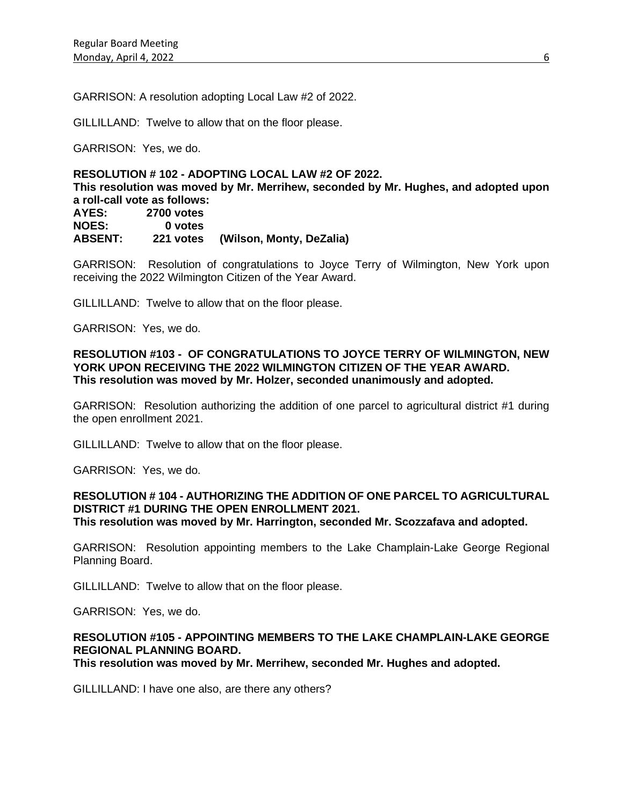GARRISON: A resolution adopting Local Law #2 of 2022.

GILLILLAND: Twelve to allow that on the floor please.

GARRISON: Yes, we do.

## **RESOLUTION # 102 - ADOPTING LOCAL LAW #2 OF 2022. This resolution was moved by Mr. Merrihew, seconded by Mr. Hughes, and adopted upon a roll-call vote as follows: AYES: 2700 votes NOES: 0 votes ABSENT: 221 votes (Wilson, Monty, DeZalia)**

GARRISON: Resolution of congratulations to Joyce Terry of Wilmington, New York upon receiving the 2022 Wilmington Citizen of the Year Award.

GILLILLAND: Twelve to allow that on the floor please.

GARRISON: Yes, we do.

### **RESOLUTION #103 - OF CONGRATULATIONS TO JOYCE TERRY OF WILMINGTON, NEW YORK UPON RECEIVING THE 2022 WILMINGTON CITIZEN OF THE YEAR AWARD. This resolution was moved by Mr. Holzer, seconded unanimously and adopted.**

GARRISON: Resolution authorizing the addition of one parcel to agricultural district #1 during the open enrollment 2021.

GILLILLAND: Twelve to allow that on the floor please.

GARRISON: Yes, we do.

#### **RESOLUTION # 104 - AUTHORIZING THE ADDITION OF ONE PARCEL TO AGRICULTURAL DISTRICT #1 DURING THE OPEN ENROLLMENT 2021. This resolution was moved by Mr. Harrington, seconded Mr. Scozzafava and adopted.**

GARRISON: Resolution appointing members to the Lake Champlain-Lake George Regional Planning Board.

GILLILLAND: Twelve to allow that on the floor please.

GARRISON: Yes, we do.

# **RESOLUTION #105 - APPOINTING MEMBERS TO THE LAKE CHAMPLAIN-LAKE GEORGE REGIONAL PLANNING BOARD.**

**This resolution was moved by Mr. Merrihew, seconded Mr. Hughes and adopted.**

GILLILLAND: I have one also, are there any others?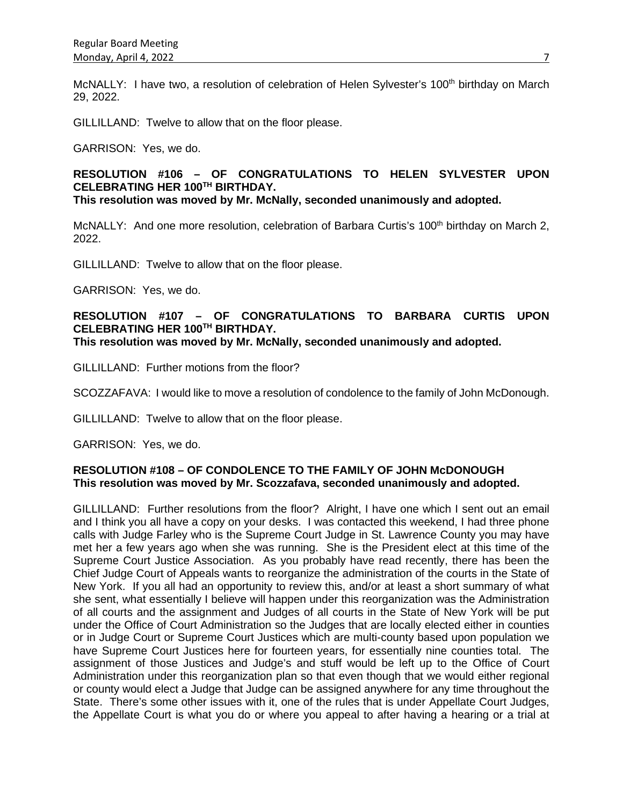McNALLY: I have two, a resolution of celebration of Helen Sylvester's 100<sup>th</sup> birthday on March 29, 2022.

GILLILLAND: Twelve to allow that on the floor please.

GARRISON: Yes, we do.

# **RESOLUTION #106 – OF CONGRATULATIONS TO HELEN SYLVESTER UPON CELEBRATING HER 100TH BIRTHDAY.**

**This resolution was moved by Mr. McNally, seconded unanimously and adopted.**

McNALLY: And one more resolution, celebration of Barbara Curtis's 100<sup>th</sup> birthday on March 2, 2022.

GILLILLAND: Twelve to allow that on the floor please.

GARRISON: Yes, we do.

# **RESOLUTION #107 – OF CONGRATULATIONS TO BARBARA CURTIS UPON CELEBRATING HER 100TH BIRTHDAY.**

**This resolution was moved by Mr. McNally, seconded unanimously and adopted.**

GILLILLAND: Further motions from the floor?

SCOZZAFAVA: I would like to move a resolution of condolence to the family of John McDonough.

GILLILLAND: Twelve to allow that on the floor please.

GARRISON: Yes, we do.

## **RESOLUTION #108 – OF CONDOLENCE TO THE FAMILY OF JOHN McDONOUGH This resolution was moved by Mr. Scozzafava, seconded unanimously and adopted.**

GILLILLAND: Further resolutions from the floor? Alright, I have one which I sent out an email and I think you all have a copy on your desks. I was contacted this weekend, I had three phone calls with Judge Farley who is the Supreme Court Judge in St. Lawrence County you may have met her a few years ago when she was running. She is the President elect at this time of the Supreme Court Justice Association. As you probably have read recently, there has been the Chief Judge Court of Appeals wants to reorganize the administration of the courts in the State of New York. If you all had an opportunity to review this, and/or at least a short summary of what she sent, what essentially I believe will happen under this reorganization was the Administration of all courts and the assignment and Judges of all courts in the State of New York will be put under the Office of Court Administration so the Judges that are locally elected either in counties or in Judge Court or Supreme Court Justices which are multi-county based upon population we have Supreme Court Justices here for fourteen years, for essentially nine counties total. The assignment of those Justices and Judge's and stuff would be left up to the Office of Court Administration under this reorganization plan so that even though that we would either regional or county would elect a Judge that Judge can be assigned anywhere for any time throughout the State. There's some other issues with it, one of the rules that is under Appellate Court Judges, the Appellate Court is what you do or where you appeal to after having a hearing or a trial at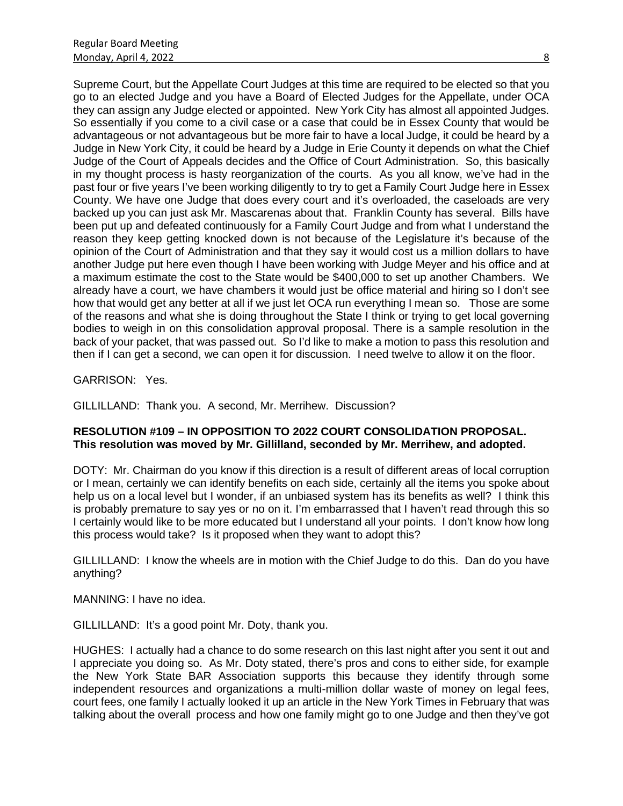Supreme Court, but the Appellate Court Judges at this time are required to be elected so that you go to an elected Judge and you have a Board of Elected Judges for the Appellate, under OCA they can assign any Judge elected or appointed. New York City has almost all appointed Judges. So essentially if you come to a civil case or a case that could be in Essex County that would be advantageous or not advantageous but be more fair to have a local Judge, it could be heard by a Judge in New York City, it could be heard by a Judge in Erie County it depends on what the Chief Judge of the Court of Appeals decides and the Office of Court Administration. So, this basically in my thought process is hasty reorganization of the courts. As you all know, we've had in the past four or five years I've been working diligently to try to get a Family Court Judge here in Essex County. We have one Judge that does every court and it's overloaded, the caseloads are very backed up you can just ask Mr. Mascarenas about that. Franklin County has several. Bills have been put up and defeated continuously for a Family Court Judge and from what I understand the reason they keep getting knocked down is not because of the Legislature it's because of the opinion of the Court of Administration and that they say it would cost us a million dollars to have another Judge put here even though I have been working with Judge Meyer and his office and at a maximum estimate the cost to the State would be \$400,000 to set up another Chambers. We already have a court, we have chambers it would just be office material and hiring so I don't see how that would get any better at all if we just let OCA run everything I mean so. Those are some of the reasons and what she is doing throughout the State I think or trying to get local governing bodies to weigh in on this consolidation approval proposal. There is a sample resolution in the back of your packet, that was passed out. So I'd like to make a motion to pass this resolution and then if I can get a second, we can open it for discussion. I need twelve to allow it on the floor.

GARRISON: Yes.

GILLILLAND: Thank you. A second, Mr. Merrihew. Discussion?

# **RESOLUTION #109 – IN OPPOSITION TO 2022 COURT CONSOLIDATION PROPOSAL. This resolution was moved by Mr. Gillilland, seconded by Mr. Merrihew, and adopted.**

DOTY: Mr. Chairman do you know if this direction is a result of different areas of local corruption or I mean, certainly we can identify benefits on each side, certainly all the items you spoke about help us on a local level but I wonder, if an unbiased system has its benefits as well? I think this is probably premature to say yes or no on it. I'm embarrassed that I haven't read through this so I certainly would like to be more educated but I understand all your points. I don't know how long this process would take? Is it proposed when they want to adopt this?

GILLILLAND: I know the wheels are in motion with the Chief Judge to do this. Dan do you have anything?

MANNING: I have no idea.

GILLILLAND: It's a good point Mr. Doty, thank you.

HUGHES: I actually had a chance to do some research on this last night after you sent it out and I appreciate you doing so. As Mr. Doty stated, there's pros and cons to either side, for example the New York State BAR Association supports this because they identify through some independent resources and organizations a multi-million dollar waste of money on legal fees, court fees, one family I actually looked it up an article in the New York Times in February that was talking about the overall process and how one family might go to one Judge and then they've got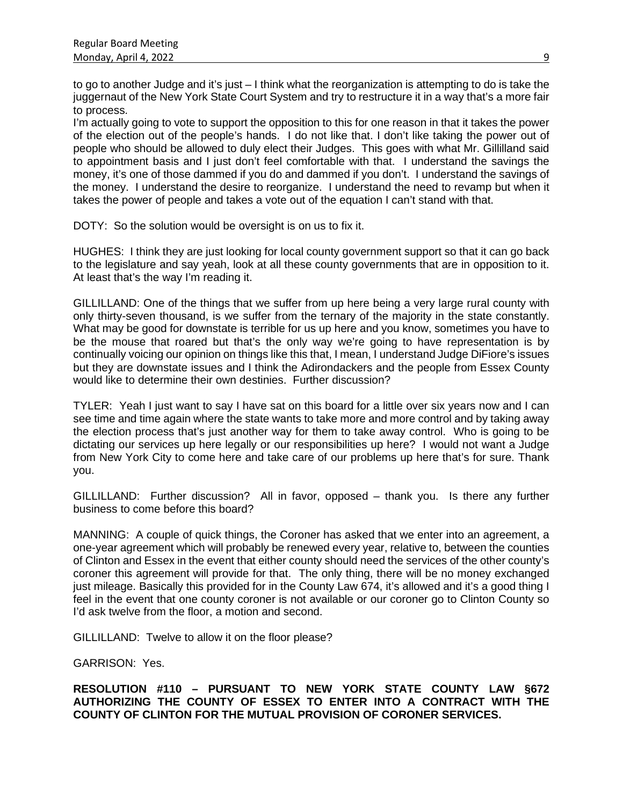to go to another Judge and it's just – I think what the reorganization is attempting to do is take the juggernaut of the New York State Court System and try to restructure it in a way that's a more fair to process.

I'm actually going to vote to support the opposition to this for one reason in that it takes the power of the election out of the people's hands. I do not like that. I don't like taking the power out of people who should be allowed to duly elect their Judges. This goes with what Mr. Gillilland said to appointment basis and I just don't feel comfortable with that. I understand the savings the money, it's one of those dammed if you do and dammed if you don't. I understand the savings of the money. I understand the desire to reorganize. I understand the need to revamp but when it takes the power of people and takes a vote out of the equation I can't stand with that.

DOTY: So the solution would be oversight is on us to fix it.

HUGHES: I think they are just looking for local county government support so that it can go back to the legislature and say yeah, look at all these county governments that are in opposition to it. At least that's the way I'm reading it.

GILLILLAND: One of the things that we suffer from up here being a very large rural county with only thirty-seven thousand, is we suffer from the ternary of the majority in the state constantly. What may be good for downstate is terrible for us up here and you know, sometimes you have to be the mouse that roared but that's the only way we're going to have representation is by continually voicing our opinion on things like this that, I mean, I understand Judge DiFiore's issues but they are downstate issues and I think the Adirondackers and the people from Essex County would like to determine their own destinies. Further discussion?

TYLER: Yeah I just want to say I have sat on this board for a little over six years now and I can see time and time again where the state wants to take more and more control and by taking away the election process that's just another way for them to take away control. Who is going to be dictating our services up here legally or our responsibilities up here? I would not want a Judge from New York City to come here and take care of our problems up here that's for sure. Thank you.

GILLILLAND: Further discussion? All in favor, opposed – thank you. Is there any further business to come before this board?

MANNING: A couple of quick things, the Coroner has asked that we enter into an agreement, a one-year agreement which will probably be renewed every year, relative to, between the counties of Clinton and Essex in the event that either county should need the services of the other county's coroner this agreement will provide for that. The only thing, there will be no money exchanged just mileage. Basically this provided for in the County Law 674, it's allowed and it's a good thing I feel in the event that one county coroner is not available or our coroner go to Clinton County so I'd ask twelve from the floor, a motion and second.

GILLILLAND: Twelve to allow it on the floor please?

GARRISON: Yes.

**RESOLUTION #110 – PURSUANT TO NEW YORK STATE COUNTY LAW §672 AUTHORIZING THE COUNTY OF ESSEX TO ENTER INTO A CONTRACT WITH THE COUNTY OF CLINTON FOR THE MUTUAL PROVISION OF CORONER SERVICES.**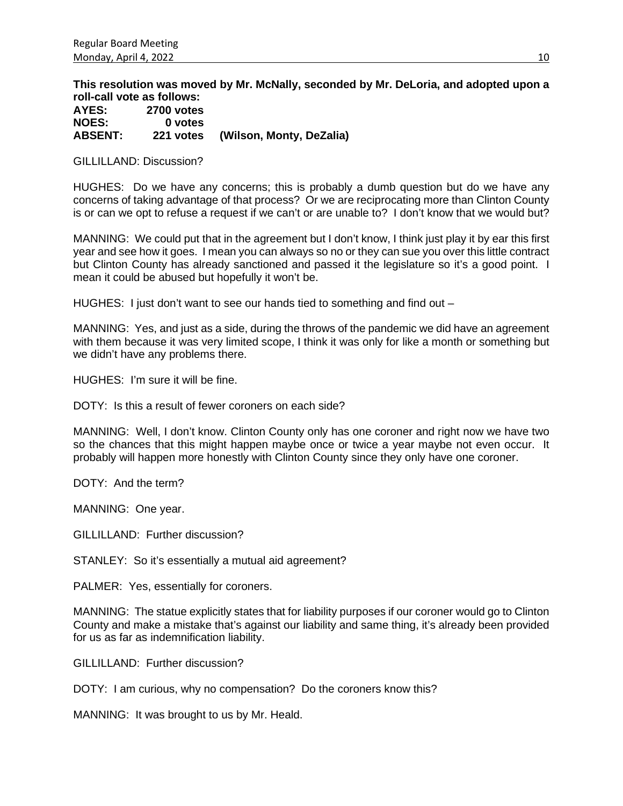**This resolution was moved by Mr. McNally, seconded by Mr. DeLoria, and adopted upon a roll-call vote as follows:** 

**AYES: 2700 votes NOES:<br>ABSENT: ABSENT: 221 votes (Wilson, Monty, DeZalia)**

GILLILLAND: Discussion?

HUGHES: Do we have any concerns; this is probably a dumb question but do we have any concerns of taking advantage of that process? Or we are reciprocating more than Clinton County is or can we opt to refuse a request if we can't or are unable to? I don't know that we would but?

MANNING: We could put that in the agreement but I don't know, I think just play it by ear this first year and see how it goes. I mean you can always so no or they can sue you over this little contract but Clinton County has already sanctioned and passed it the legislature so it's a good point. I mean it could be abused but hopefully it won't be.

HUGHES: I just don't want to see our hands tied to something and find out –

MANNING: Yes, and just as a side, during the throws of the pandemic we did have an agreement with them because it was very limited scope, I think it was only for like a month or something but we didn't have any problems there.

HUGHES: I'm sure it will be fine.

DOTY: Is this a result of fewer coroners on each side?

MANNING: Well, I don't know. Clinton County only has one coroner and right now we have two so the chances that this might happen maybe once or twice a year maybe not even occur. It probably will happen more honestly with Clinton County since they only have one coroner.

DOTY: And the term?

MANNING: One year.

GILLILLAND: Further discussion?

STANLEY: So it's essentially a mutual aid agreement?

PALMER: Yes, essentially for coroners.

MANNING: The statue explicitly states that for liability purposes if our coroner would go to Clinton County and make a mistake that's against our liability and same thing, it's already been provided for us as far as indemnification liability.

GILLILLAND: Further discussion?

DOTY: I am curious, why no compensation? Do the coroners know this?

MANNING: It was brought to us by Mr. Heald.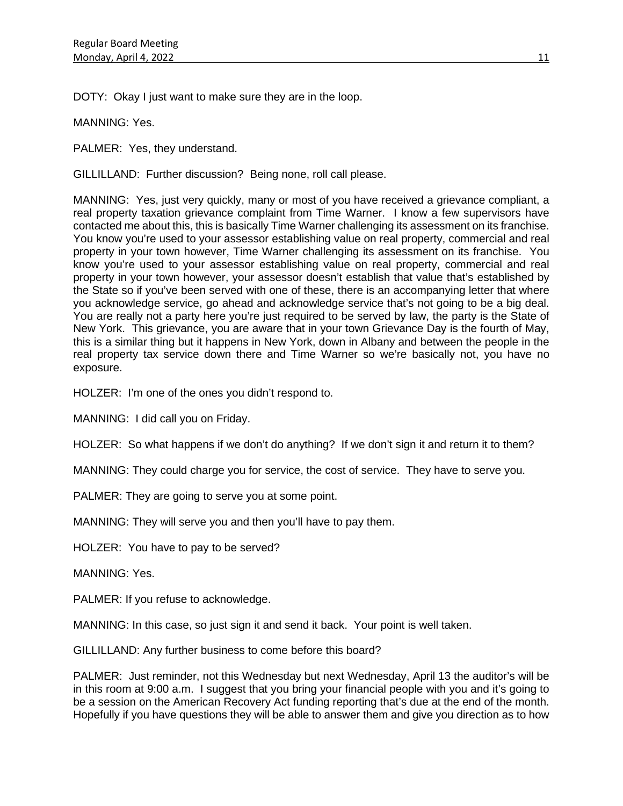DOTY: Okay I just want to make sure they are in the loop.

MANNING: Yes.

PALMER: Yes, they understand.

GILLILLAND: Further discussion? Being none, roll call please.

MANNING: Yes, just very quickly, many or most of you have received a grievance compliant, a real property taxation grievance complaint from Time Warner. I know a few supervisors have contacted me about this, this is basically Time Warner challenging its assessment on its franchise. You know you're used to your assessor establishing value on real property, commercial and real property in your town however, Time Warner challenging its assessment on its franchise. You know you're used to your assessor establishing value on real property, commercial and real property in your town however, your assessor doesn't establish that value that's established by the State so if you've been served with one of these, there is an accompanying letter that where you acknowledge service, go ahead and acknowledge service that's not going to be a big deal. You are really not a party here you're just required to be served by law, the party is the State of New York. This grievance, you are aware that in your town Grievance Day is the fourth of May, this is a similar thing but it happens in New York, down in Albany and between the people in the real property tax service down there and Time Warner so we're basically not, you have no exposure.

HOLZER: I'm one of the ones you didn't respond to.

MANNING: I did call you on Friday.

HOLZER: So what happens if we don't do anything? If we don't sign it and return it to them?

MANNING: They could charge you for service, the cost of service. They have to serve you.

PALMER: They are going to serve you at some point.

MANNING: They will serve you and then you'll have to pay them.

HOLZER: You have to pay to be served?

MANNING: Yes.

PALMER: If you refuse to acknowledge.

MANNING: In this case, so just sign it and send it back. Your point is well taken.

GILLILLAND: Any further business to come before this board?

PALMER: Just reminder, not this Wednesday but next Wednesday, April 13 the auditor's will be in this room at 9:00 a.m. I suggest that you bring your financial people with you and it's going to be a session on the American Recovery Act funding reporting that's due at the end of the month. Hopefully if you have questions they will be able to answer them and give you direction as to how